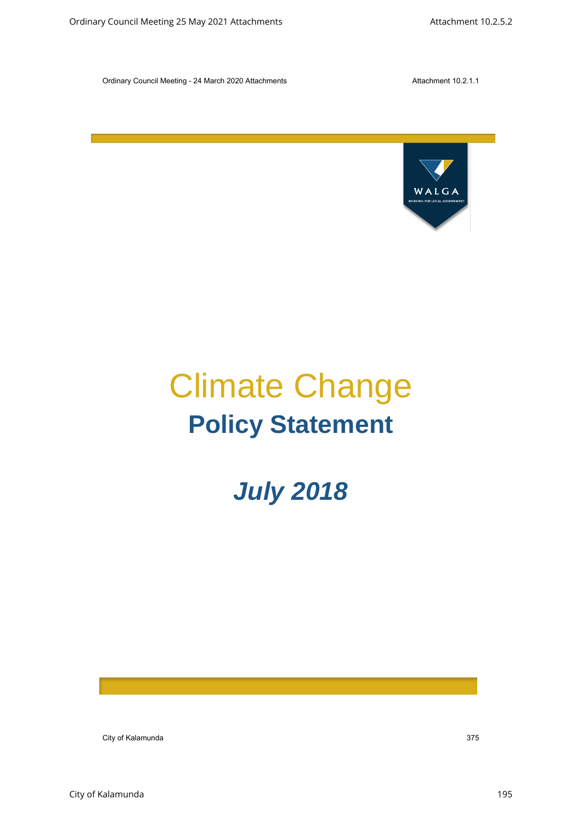

# Climate Change **Policy Statement** Continey Council Meeting 25 May 2021 Attachments Attachments Attachments Attachment 10.2.5.2<br>
Council Meeting 25 May 2021 Attachment<br>
Council Meeting 25 May 2021 Attachment<br>
Council Meeting 2018

# *July 2018*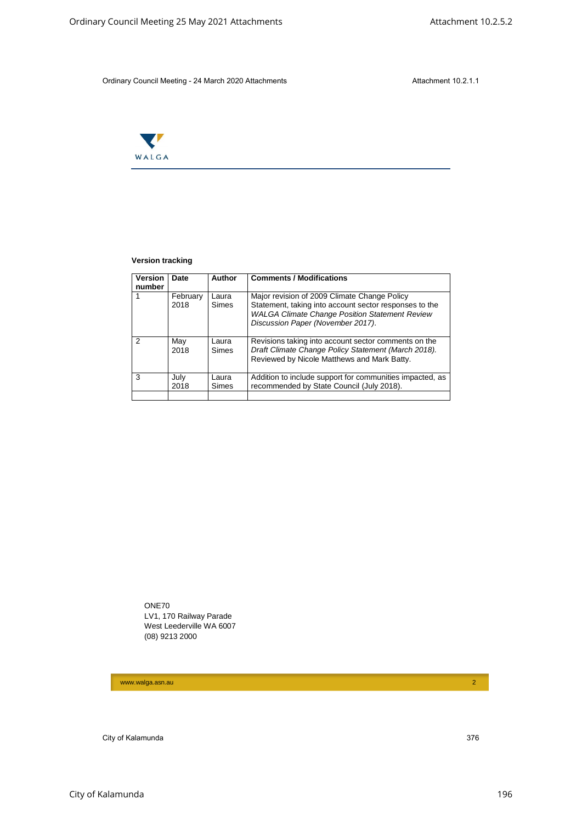

#### **Version tracking**

|                | WALGA                   |                                                                       |                |                                                                                                                                                                                                      |  |
|----------------|-------------------------|-----------------------------------------------------------------------|----------------|------------------------------------------------------------------------------------------------------------------------------------------------------------------------------------------------------|--|
|                |                         |                                                                       |                |                                                                                                                                                                                                      |  |
|                |                         |                                                                       |                |                                                                                                                                                                                                      |  |
|                | <b>Version tracking</b> |                                                                       |                |                                                                                                                                                                                                      |  |
|                | Version<br>number       | Date                                                                  | Author         | <b>Comments / Modifications</b>                                                                                                                                                                      |  |
| $\mathbf{1}$   |                         | February<br>2018                                                      | Laura<br>Simes | Major revision of 2009 Climate Change Policy<br>Statement, taking into account sector responses to the<br><b>WALGA Climate Change Position Statement Review</b><br>Discussion Paper (November 2017). |  |
| $\overline{c}$ |                         | May<br>2018                                                           | Laura<br>Simes | Revisions taking into account sector comments on the<br>Draft Climate Change Policy Statement (March 2018).<br>Reviewed by Nicole Matthews and Mark Batty.                                           |  |
| 3              |                         | July<br>2018                                                          | Laura<br>Simes | Addition to include support for communities impacted, as<br>recommended by State Council (July 2018).                                                                                                |  |
|                | ONE70                   | LV1, 170 Railway Parade<br>West Leederville WA 6007<br>(08) 9213 2000 |                |                                                                                                                                                                                                      |  |
|                |                         |                                                                       |                |                                                                                                                                                                                                      |  |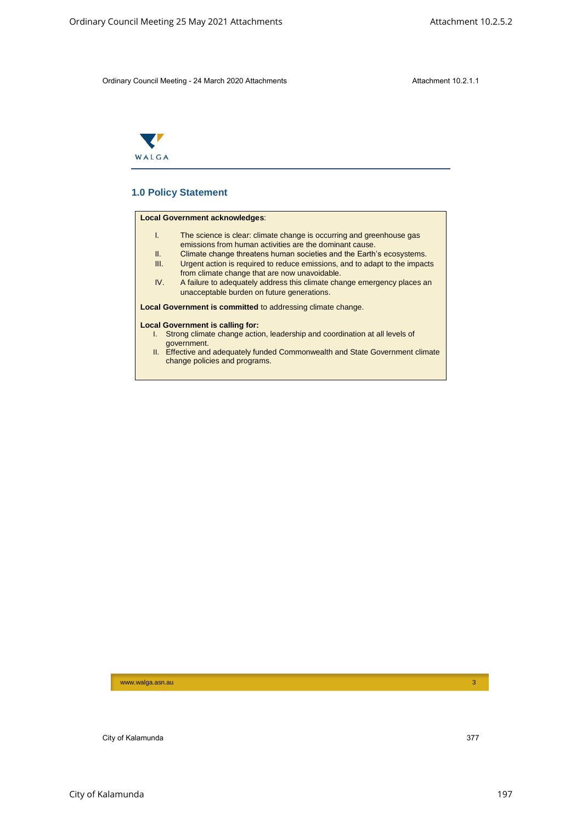

# **1.0 Policy Statement**

#### **Local Government acknowledges**:

- I. The science is clear: climate change is occurring and greenhouse gas emissions from human activities are the dominant cause. City of Kalamunda 37 May 2021 Attachments<br>
Children Chinary Council Meeting 25 May 2021 Attachments<br>
Council Meeting 25 May 2021 Attachments<br>
The Sales May 2021 Attachments<br>
Council Meeting 25 May 2021 Attachments<br>
Council
	- II. Climate change threatens human societies and the Earth's ecosystems.<br>III. Urgent action is required to reduce emissions, and to adapt to the impact Urgent action is required to reduce emissions, and to adapt to the impacts
	- from climate change that are now unavoidable. IV. A failure to adequately address this climate change emergency places an unacceptable burden on future generations.

**Local Government is committed** to addressing climate change.

#### **Local Government is calling for:**

- I. Strong climate change action, leadership and coordination at all levels of government.
- II. Effective and adequately funded Commonwealth and State Government climate change policies and programs.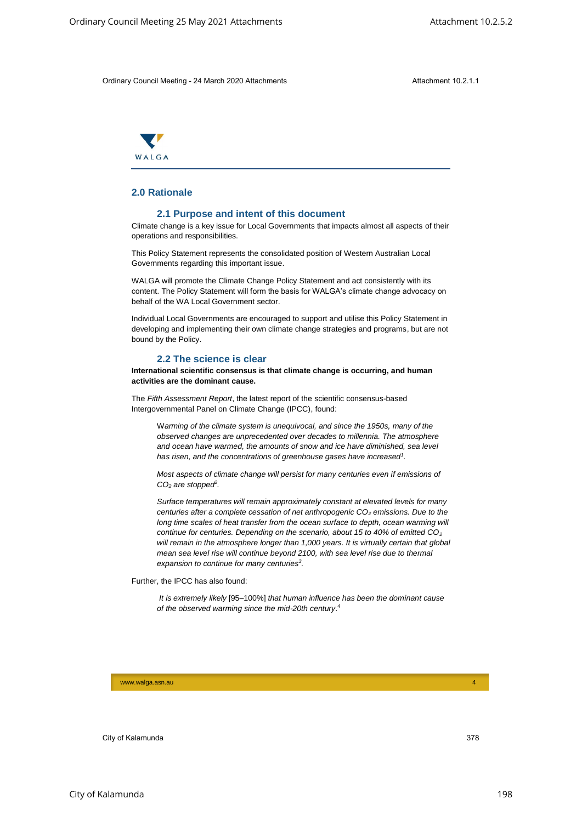

# **2.0 Rationale**

#### **2.1 Purpose and intent of this document**

Climate change is a key issue for Local Governments that impacts almost all aspects of their operations and responsibilities.

This Policy Statement represents the consolidated position of Western Australian Local Governments regarding this important issue.

WALGA will promote the Climate Change Policy Statement and act consistently with its content. The Policy Statement will form the basis for WALGA's climate change advocacy on behalf of the WA Local Government sector.

Individual Local Governments are encouraged to support and utilise this Policy Statement in developing and implementing their own climate change strategies and programs, but are not bound by the Policy.

### **2.2 The science is clear**

**International scientific consensus is that climate change is occurring, and human activities are the dominant cause.**

The *Fifth Assessment Report*, the latest report of the scientific consensus-based Intergovernmental Panel on Climate Change (IPCC), found:

W*arming of the climate system is unequivocal, and since the 1950s, many of the observed changes are unprecedented over decades to millennia. The atmosphere and ocean have warmed, the amounts of snow and ice have diminished, sea level has risen, and the concentrations of greenhouse gases have increased<sup>1</sup> .*

*Most aspects of climate change will persist for many centuries even if emissions of CO<sup>2</sup> are stopped<sup>2</sup> .*

*Surface temperatures will remain approximately constant at elevated levels for many centuries after a complete cessation of net anthropogenic CO<sup>2</sup> emissions. Due to the long time scales of heat transfer from the ocean surface to depth, ocean warming will continue for centuries. Depending on the scenario, about 15 to 40% of emitted CO<sup>2</sup> will remain in the atmosphere longer than 1,000 years. It is virtually certain that global mean sea level rise will continue beyond 2100, with sea level rise due to thermal expansion to continue for many centuries<sup>3</sup> .* City of Care of City Associated Artistic process of City Associates Attachment 10.2.5.2<br>
Children City Council Meeting 25 May 2021 Attachments<br>
28 Ordinary Council Meeting 25 May 2021 Attachment<br>
28 Ordinary Council Meeti

Further, the IPCC has also found:

*It is extremely likely* [95–100%] *that human influence has been the dominant cause of the observed warming since the mid-20th century*. 4

www.walga.asn.au 44 Australia and authority and authority and authority and authority and authority and authority and 44 Australia and 44 Australia and 44 Australia and 44 Australia and 44 Australia and 44 Australia and 44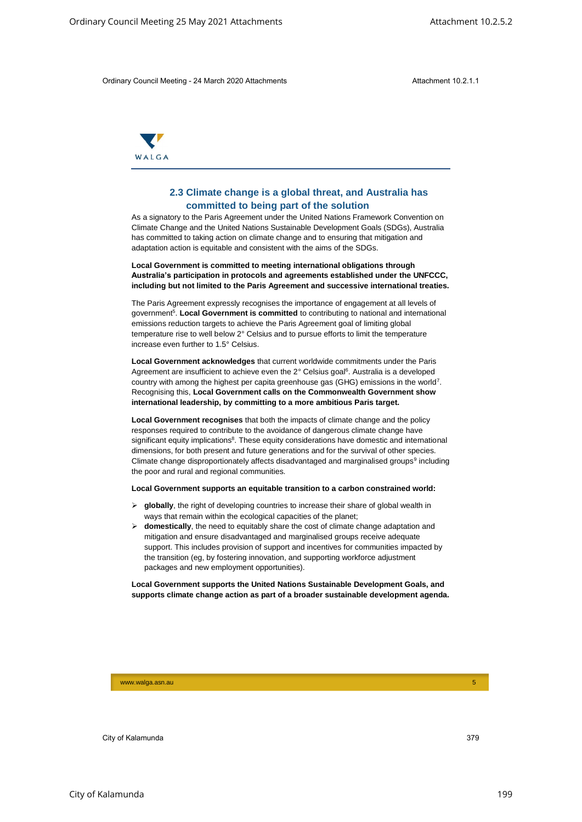

# **2.3 Climate change is a global threat, and Australia has committed to being part of the solution**

As a signatory to the Paris Agreement under the United Nations Framework Convention on Climate Change and the United Nations Sustainable Development Goals (SDGs), Australia has committed to taking action on climate change and to ensuring that mitigation and adaptation action is equitable and consistent with the aims of the SDGs.

**Local Government is committed to meeting international obligations through Australia's participation in protocols and agreements established under the UNFCCC, including but not limited to the Paris Agreement and successive international treaties.**

The Paris Agreement expressly recognises the importance of engagement at all levels of government<sup>5</sup>. Local Government is committed to contributing to national and international emissions reduction targets to achieve the Paris Agreement goal of limiting global temperature rise to well below 2° Celsius and to pursue efforts to limit the temperature increase even further to 1.5° Celsius.

**Local Government acknowledges** that current worldwide commitments under the Paris Agreement are insufficient to achieve even the 2° Celsius goal<sup>6</sup>. Australia is a developed country with among the highest per capita greenhouse gas (GHG) emissions in the world<sup>7</sup>. Recognising this, **Local Government calls on the Commonwealth Government show international leadership, by committing to a more ambitious Paris target.**

**Local Government recognises** that both the impacts of climate change and the policy responses required to contribute to the avoidance of dangerous climate change have significant equity implications<sup>8</sup>. These equity considerations have domestic and international dimensions, for both present and future generations and for the survival of other species. Climate change disproportionately affects disadvantaged and marginalised groups<sup>9</sup> including the poor and rural and regional communities. City of the City of the City of the City of the City of the City of the City of the City of the City of the City of the City of the City of the City of the City of the City of the City of the City of the City of the City

#### **Local Government supports an equitable transition to a carbon constrained world:**

- **globally**, the right of developing countries to increase their share of global wealth in ways that remain within the ecological capacities of the planet;
- $\triangleright$  **domestically**, the need to equitably share the cost of climate change adaptation and mitigation and ensure disadvantaged and marginalised groups receive adequate support. This includes provision of support and incentives for communities impacted by the transition (eg, by fostering innovation, and supporting workforce adjustment packages and new employment opportunities).

**Local Government supports the United Nations Sustainable Development Goals, and supports climate change action as part of a broader sustainable development agenda.** 

www.walga.asn.au 5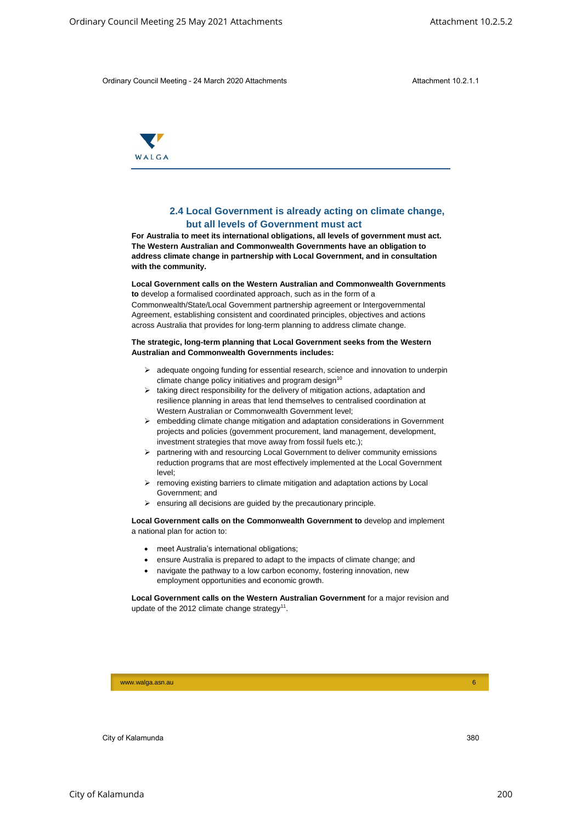

# **2.4 Local Government is already acting on climate change, but all levels of Government must act**

**For Australia to meet its international obligations, all levels of government must act. The Western Australian and Commonwealth Governments have an obligation to address climate change in partnership with Local Government, and in consultation with the community.** Circulary Scarce of May 2021 Attachments<br>
Civitary Oracid Meeting 25 May 2021 Attachment<br>
Sunchment 10.2.5.1<br>
Civitary Oracid Meeting 25 May 2021 Attachment<br>
2.4 Local Government is already acting on climate changes<br>
TV M

#### **Local Government calls on the Western Australian and Commonwealth Governments**

**to** develop a formalised coordinated approach, such as in the form of a Commonwealth/State/Local Government partnership agreement or Intergovernmental Agreement, establishing consistent and coordinated principles, objectives and actions across Australia that provides for long-term planning to address climate change.

#### **The strategic, long-term planning that Local Government seeks from the Western Australian and Commonwealth Governments includes:**

- $\geq$  adequate ongoing funding for essential research, science and innovation to underpin climate change policy initiatives and program design $10$
- $\triangleright$  taking direct responsibility for the delivery of mitigation actions, adaptation and resilience planning in areas that lend themselves to centralised coordination at Western Australian or Commonwealth Government level;
- $\triangleright$  embedding climate change mitigation and adaptation considerations in Government projects and policies (government procurement, land management, development, investment strategies that move away from fossil fuels etc.);
- $\triangleright$  partnering with and resourcing Local Government to deliver community emissions reduction programs that are most effectively implemented at the Local Government level;
- $\triangleright$  removing existing barriers to climate mitigation and adaptation actions by Local Government; and
- ensuring all decisions are guided by the precautionary principle.

**Local Government calls on the Commonwealth Government to** develop and implement a national plan for action to:

- meet Australia's international obligations;
- ensure Australia is prepared to adapt to the impacts of climate change; and
- navigate the pathway to a low carbon economy, fostering innovation, new employment opportunities and economic growth.

**Local Government calls on the Western Australian Government** for a major revision and update of the 2012 climate change strategy<sup>11</sup>.

www.walga.asn.au 6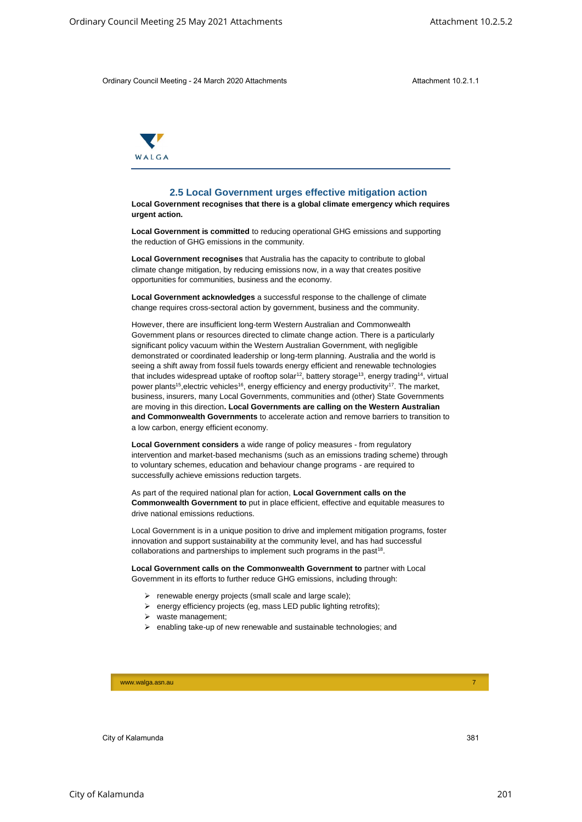

#### **2.5 Local Government urges effective mitigation action**

**Local Government recognises that there is a global climate emergency which requires urgent action.** 

**Local Government is committed** to reducing operational GHG emissions and supporting the reduction of GHG emissions in the community.

**Local Government recognises** that Australia has the capacity to contribute to global climate change mitigation, by reducing emissions now, in a way that creates positive opportunities for communities, business and the economy.

**Local Government acknowledges** a successful response to the challenge of climate change requires cross-sectoral action by government, business and the community.

However, there are insufficient long-term Western Australian and Commonwealth Government plans or resources directed to climate change action. There is a particularly significant policy vacuum within the Western Australian Government, with negligible demonstrated or coordinated leadership or long-term planning. Australia and the world is seeing a shift away from fossil fuels towards energy efficient and renewable technologies that includes widespread uptake of rooftop solar<sup>12</sup>, battery storage<sup>13</sup>, energy trading<sup>14</sup>, virtual power plants<sup>15</sup>, electric vehicles<sup>16</sup>, energy efficiency and energy productivity<sup>17</sup>. The market, business, insurers, many Local Governments, communities and (other) State Governments are moving in this direction**. Local Governments are calling on the Western Australian and Commonwealth Governments** to accelerate action and remove barriers to transition to a low carbon, energy efficient economy. City from 2 Council Mechanic 2 May 2021 Attachments<br>
City of Austin 251 14<br>
City of Austin 251 Ordinary 2021 Attachment<br>
2.5.1 Octil Government trigges effective militigation action<br>
Local Covernment trigges effective mil

**Local Government considers** a wide range of policy measures - from regulatory intervention and market-based mechanisms (such as an emissions trading scheme) through to voluntary schemes, education and behaviour change programs - are required to successfully achieve emissions reduction targets.

As part of the required national plan for action, **Local Government calls on the Commonwealth Government to** put in place efficient, effective and equitable measures to drive national emissions reductions.

Local Government is in a unique position to drive and implement mitigation programs, foster innovation and support sustainability at the community level, and has had successful collaborations and partnerships to implement such programs in the past<sup>18</sup>.

**Local Government calls on the Commonwealth Government to** partner with Local Government in its efforts to further reduce GHG emissions, including through:

- $\triangleright$  renewable energy projects (small scale and large scale);
- $\triangleright$  energy efficiency projects (eg, mass LED public lighting retrofits);
- $\triangleright$  waste management;
- $\triangleright$  enabling take-up of new renewable and sustainable technologies; and

www.walga.asn.au 7 - 200 meters and 200 meters and 200 meters and 200 meters and 200 meters and 200 meters and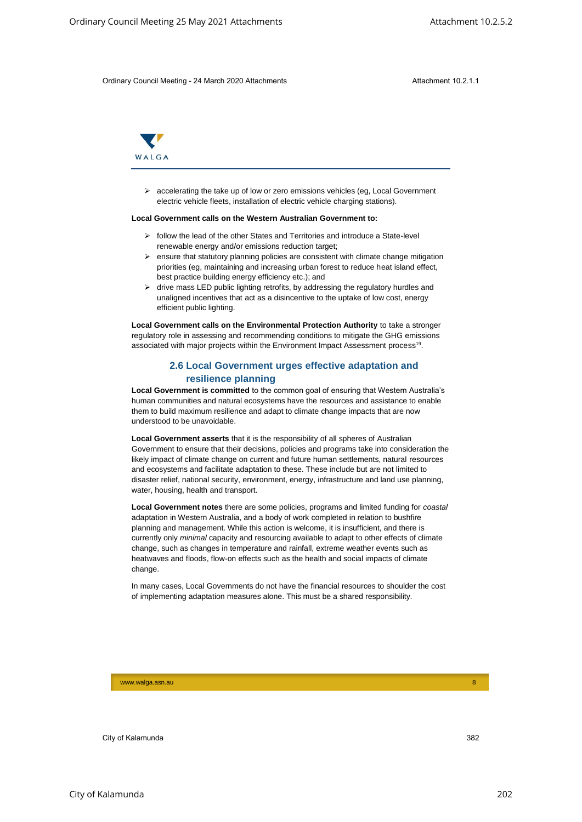

 accelerating the take up of low or zero emissions vehicles (eg, Local Government electric vehicle fleets, installation of electric vehicle charging stations).

#### **Local Government calls on the Western Australian Government to:**

- $\triangleright$  follow the lead of the other States and Territories and introduce a State-level renewable energy and/or emissions reduction target;
- $\triangleright$  ensure that statutory planning policies are consistent with climate change mitigation priorities (eg, maintaining and increasing urban forest to reduce heat island effect, best practice building energy efficiency etc.); and
- $\triangleright$  drive mass LED public lighting retrofits, by addressing the regulatory hurdles and unaligned incentives that act as a disincentive to the uptake of low cost, energy efficient public lighting.

**Local Government calls on the Environmental Protection Authority** to take a stronger regulatory role in assessing and recommending conditions to mitigate the GHG emissions associated with major projects within the Environment Impact Assessment process<sup>19</sup>.

# **2.6 Local Government urges effective adaptation and resilience planning**

**Local Government is committed** to the common goal of ensuring that Western Australia's human communities and natural ecosystems have the resources and assistance to enable them to build maximum resilience and adapt to climate change impacts that are now understood to be unavoidable.

**Local Government asserts** that it is the responsibility of all spheres of Australian Government to ensure that their decisions, policies and programs take into consideration the likely impact of climate change on current and future human settlements, natural resources and ecosystems and facilitate adaptation to these. These include but are not limited to disaster relief, national security, environment, energy, infrastructure and land use planning, water, housing, health and transport.

**Local Government notes** there are some policies, programs and limited funding for *coastal* adaptation in Western Australia, and a body of work completed in relation to bushfire planning and management. While this action is welcome, it is insufficient, and there is currently only *minimal* capacity and resourcing available to adapt to other effects of climate change, such as changes in temperature and rainfall, extreme weather events such as heatwaves and floods, flow-on effects such as the health and social impacts of climate change. City of the City of the City of the City of the City of the City of the City of City of City of City of City of City of City of City of City of City of City of City of City of City of City of City of City of City of City

In many cases, Local Governments do not have the financial resources to shoulder the cost of implementing adaptation measures alone. This must be a shared responsibility.

www.walga.asn.au 8 | 2002 | 2003 | 2004 | 2005 | 2006 | 2006 | 2006 | 2007 | 2008 | 2008 | 2008 | 2008 | 2008 |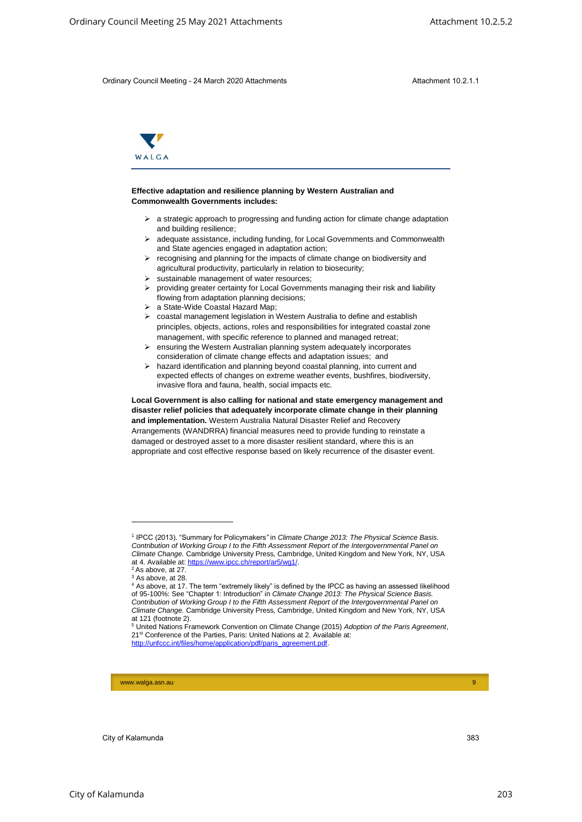

#### **Effective adaptation and resilience planning by Western Australian and Commonwealth Governments includes:**

- $\triangleright$  a strategic approach to progressing and funding action for climate change adaptation and building resilience;
- adequate assistance, including funding, for Local Governments and Commonwealth and State agencies engaged in adaptation action;
- $\triangleright$  recognising and planning for the impacts of climate change on biodiversity and agricultural productivity, particularly in relation to biosecurity;
- $\triangleright$  sustainable management of water resources;
- providing greater certainty for Local Governments managing their risk and liability flowing from adaptation planning decisions;
- a State-Wide Coastal Hazard Map;
- coastal management legislation in Western Australia to define and establish principles, objects, actions, roles and responsibilities for integrated coastal zone management, with specific reference to planned and managed retreat;
- ensuring the Western Australian planning system adequately incorporates consideration of climate change effects and adaptation issues; and
- $\triangleright$  hazard identification and planning beyond coastal planning, into current and expected effects of changes on extreme weather events, bushfires, biodiversity, invasive flora and fauna, health, social impacts etc.

**Local Government is also calling for national and state emergency management and disaster relief policies that adequately incorporate climate change in their planning and implementation.** Western Australia Natural Disaster Relief and Recovery Arrangements (WANDRRA) financial measures need to provide funding to reinstate a damaged or destroyed asset to a more disaster resilient standard, where this is an appropriate and cost effective response based on likely recurrence of the disaster event. City Council Meeting 25 May 2021 Attachments<br>
City of City of Real 2021 Attachments<br>
City of City of Real 2021<br>
The City of Real 2021 Attachments Attachments<br>
City of City of City of Real 2021<br>
The City of City of Real 20

-

www.walga.asn.au 9 | 2002 | 2003 | 2004 | 2005 | 2006 | 2007 | 2008 | 2009 | 2009 | 2009 | 2009 | 2009 | 2009 |

<sup>1</sup> IPCC (2013). "Summary for Policymakers*"* in *Climate Change 2013: The Physical Science Basis. Contribution of Working Group I to the Fifth Assessment Report of the Intergovernmental Panel on Climate Change.* Cambridge University Press, Cambridge, United Kingdom and New York, NY, USA at 4. Available at: [https://www.ipcc.ch/report/ar5/wg1/.](https://www.ipcc.ch/report/ar5/wg1/)

 $2$  As above, at 27.

<sup>&</sup>lt;sup>3</sup> As above, at 28.

<sup>4</sup> As above, at 17. The term "extremely likely" is defined by the IPCC as having an assessed likelihood of 95-100%: See "Chapter 1: Introduction" in *Climate Change 2013: The Physical Science Basis. Contribution of Working Group I to the Fifth Assessment Report of the Intergovernmental Panel on Climate Change.* Cambridge University Press, Cambridge, United Kingdom and New York, NY, USA at 121 (footnote 2).

<sup>5</sup> United Nations Framework Convention on Climate Change (2015) *Adoption of the Paris Agreement*, 21st Conference of the Parties, Paris: United Nations at 2. Available at: [http://unfccc.int/files/home/application/pdf/paris\\_agreement.pdf.](http://unfccc.int/files/home/application/pdf/paris_agreement.pdf)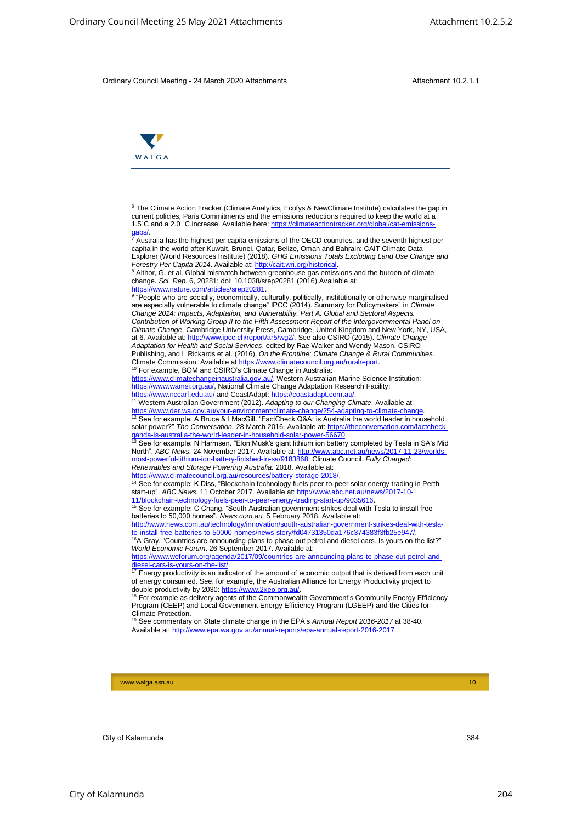

-

<sup>6</sup> The Climate Action Tracker (Climate Analytics, Ecofys & NewClimate Institute) calculates the gap in current policies, Paris Commitments and the emissions reductions required to keep the world at a 1.5℃ and a 2.0 ℃ increase. Available here: https://climateactiontracker.org/glob [gaps/.](https://climateactiontracker.org/global/cat-emissions-gaps/)<br><sup>7</sup> Australia has the highest per capita emissions of the OECD countries, and the seventh highest per

capita in the world after Kuwait, Brunei, Qatar, Belize, Oman and Bahrain: CAIT Climate Data Explorer (World Resources Institute) (2018). *GHG Emissions Totals Excluding Land Use Change and Forestry Per Capita 2014*. Available at: [http://cait.wri.org/historical.](http://cait.wri.org/historical)

<sup>8</sup> Althor, G. et al. Global mismatch between greenhouse gas emissions and the burden of climate change. *Sci. Rep*. 6, 20281; doi: 10.1038/srep20281 (2016).Available at:

<u>https://www.nature.com/articles/srep20281</u>.<br><sup>9</sup> "People who are socially, economically, culturally, politically, institutionally or otherwise marginalised. are especially vulnerable to climate change" IPCC (2014). Summary for Policymakers" in *Climate Change 2014: Impacts, Adaptation, and Vulnerability. Part A: Global and Sectoral Aspects. Contribution of Working Group II to the Fifth Assessment Report of the Intergovernmental Panel on Climate Change*. Cambridge University Press, Cambridge, United Kingdom and New York, NY, USA, at 6. Available at[: http://www.ipcc.ch/report/ar5/wg2/.](http://www.ipcc.ch/report/ar5/wg2/) See also CSIRO (2015). *Climate Change Adaptation for Health and Social Services*, edited by Rae Walker and Wendy Mason. CSIRO Publishing, and L Rickards et al. (2016). *On the Frontline: Climate Change & Rural Communities.*  Climate Commission. Available at [https://www.climatecouncil.org.au/ruralreport.](https://www.climatecouncil.org.au/ruralreport) City of Care of May 2021 Attachments<br>
City of May 2021 Attachments<br>
Council Meeting 25 May 2021 Attachments<br>
Council Meeting 25 May 2021 Attachments<br>
Council Meeting 25 May 2021 Attachments<br>
The Grand Meeting 25 May 2021 A

<sup>10</sup> For example, BOM and CSIRO's Climate Change in Australia: [https://www.climatechangeinaustralia.gov.au/,](https://www.climatechangeinaustralia.gov.au/) Western Australian Marine Science Institution: [https://www.wamsi.org.au/,](https://www.wamsi.org.au/) National Climate Change Adaptation Research Facility:

[https://www.der.wa.gov.au/your-environment/climate-change/254-adapting-to-climate-change.](https://www.der.wa.gov.au/your-environment/climate-change/254-adapting-to-climate-change)<br><sup>12</sup> See for example: A Bruce & I MacGill. "FactCheck Q&A: is Australia the world leader in household solar power?" The Conversation. 28 March 2016. Available at: https://theconversation.com/factcl

ganda-is-australia-the-world-leader-in-household-solar-power-56670.<br><sup>13</sup> See for example: N Harmsen. "Elon Musk's giant lithium ion battery completed by Tesla in SA's Mid North". *ABC News.* 24 November 2017. Available at: [http://www.abc.net.au/news/2017-11-23/worlds](http://www.abc.net.au/news/2017-11-23/worlds-most-powerful-lithium-ion-battery-finished-in-sa/9183868)verful-lithium-ion-battery-finished-in-sa/9183868; Climate Council. *Fully Charged: Renewables and Storage Powering Australia.* 2018. Available at:

<u>https://www.climatecouncil.org.au/resources/battery-storage-2018/</u>.<br><sup>14</sup> See for example: K Diss, "Blockchain technology fuels peer-to-peer solar energy trading in Perth start-up". *ABC News.* 11 October 2017. Available at: http://www.abc.net.au/news/2017-10

[11/blockchain-technology-fuels-peer-to-peer-energy-trading-start-up/9035616.](http://www.abc.net.au/news/2017-10-11/blockchain-technology-fuels-peer-to-peer-energy-trading-start-up/9035616)<br><sup>15</sup> See for example: C Chang. "South Australian government strikes deal with Tesla to install free batteries to 50,000 homes". *News.com.au.* 5 February 2018. Available at:

[http://www.news.com.au/technology/innovation/south-australian-government-strikes-deal-with-tesla-](http://www.news.com.au/technology/innovation/south-australian-government-strikes-deal-with-tesla-to-install-free-batteries-to-50000-homes/news-story/fd04731350da176c374383f3fb25e947/)<u>to-install-free-batteries-to-50000-homes/news-story/fd04731350da176c374383f3fb25e947/</u>.<br><sup>16</sup>A Gray. "Countries are announcing plans to phase out petrol and diesel cars. Is yours on the list?" *World Economic Forum*. 26 September 2017. Available at:

[https://www.weforum.org/agenda/2017/09/countries-are-announcing-plans-to-phase-out-petrol-and](https://www.weforum.org/agenda/2017/09/countries-are-announcing-plans-to-phase-out-petrol-and-diesel-cars-is-yours-on-the-list/)[diesel-cars-is-yours-on-the-list/.](https://www.weforum.org/agenda/2017/09/countries-are-announcing-plans-to-phase-out-petrol-and-diesel-cars-is-yours-on-the-list/)

diesel-cars-is-yours-on-the-list/.<br><sup>17</sup> Energy productivity is an indicator of the amount of economic output that is derived from each unit of energy consumed. See, for example, the Australian Alliance for Energy Productivity project to

double productivity by 2030: <u>https://www.2xep.org.au/</u>.<br><sup>18</sup> For example as delivery agents of the Commonwealth Government's Community Energy Efficiency Program (CEEP) and Local Government Energy Efficiency Program (LGEEP) and the Cities for Climate Protection. <sup>19</sup> See commentary on State climate change in the EPA's *Annual Report 2016-2017* at 38-40.

Available at: [http://www.epa.wa.gov.au/annual-reports/epa-annual-report-2016-2017.](http://www.epa.wa.gov.au/annual-reports/epa-annual-report-2016-2017)

<https://www.nccarf.edu.au/> and CoastAdapt: [https://coastadapt.com.au/.](https://coastadapt.com.au/) <sup>11</sup> Western Australian Government (2012). *Adapting to our Changing Climate*. Available at: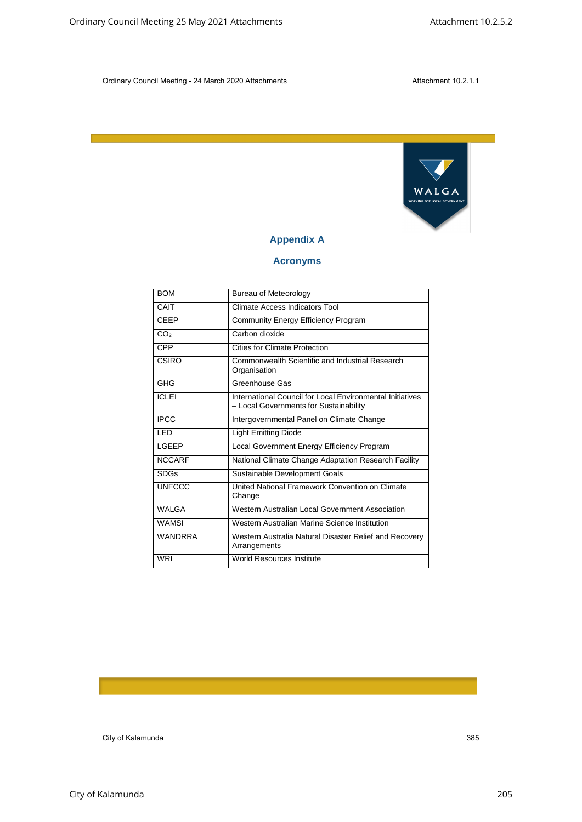

# **Appendix A**

# **Acronyms**

| WALGA<br>WORKING FOR LOCAL GOVERNMENT<br><b>Appendix A</b><br><b>Acronyms</b><br><b>BOM</b><br><b>Bureau of Meteorology</b><br><b>Climate Access Indicators Tool</b><br>CAIT<br><b>CEEP</b><br><b>Community Energy Efficiency Program</b><br>CO <sub>2</sub><br>Carbon dioxide<br><b>CPP</b><br><b>Cities for Climate Protection</b><br><b>CSIRO</b><br>Commonwealth Scientific and Industrial Research<br>Organisation<br>GHG<br>Greenhouse Gas<br><b>ICLEI</b><br>International Council for Local Environmental Initiatives<br>- Local Governments for Sustainability<br><b>IPCC</b><br>Intergovernmental Panel on Climate Change<br>LED<br><b>Light Emitting Diode</b><br>Local Government Energy Efficiency Program<br>LGEEP<br><b>NCCARF</b><br>National Climate Change Adaptation Research Facility<br><b>SDGs</b><br>Sustainable Development Goals<br><b>UNFCCC</b><br>United National Framework Convention on Climate<br>Change<br><b>WALGA</b><br>Western Australian Local Government Association<br><b>WAMSI</b><br>Western Australian Marine Science Institution<br><b>WANDRRA</b><br>Western Australia Natural Disaster Relief and Recovery<br>Arrangements<br>World Resources Institute<br><b>WRI</b> |  |  |  |
|--------------------------------------------------------------------------------------------------------------------------------------------------------------------------------------------------------------------------------------------------------------------------------------------------------------------------------------------------------------------------------------------------------------------------------------------------------------------------------------------------------------------------------------------------------------------------------------------------------------------------------------------------------------------------------------------------------------------------------------------------------------------------------------------------------------------------------------------------------------------------------------------------------------------------------------------------------------------------------------------------------------------------------------------------------------------------------------------------------------------------------------------------------------------------------------------------------------------|--|--|--|
|                                                                                                                                                                                                                                                                                                                                                                                                                                                                                                                                                                                                                                                                                                                                                                                                                                                                                                                                                                                                                                                                                                                                                                                                                    |  |  |  |
|                                                                                                                                                                                                                                                                                                                                                                                                                                                                                                                                                                                                                                                                                                                                                                                                                                                                                                                                                                                                                                                                                                                                                                                                                    |  |  |  |
|                                                                                                                                                                                                                                                                                                                                                                                                                                                                                                                                                                                                                                                                                                                                                                                                                                                                                                                                                                                                                                                                                                                                                                                                                    |  |  |  |
|                                                                                                                                                                                                                                                                                                                                                                                                                                                                                                                                                                                                                                                                                                                                                                                                                                                                                                                                                                                                                                                                                                                                                                                                                    |  |  |  |
|                                                                                                                                                                                                                                                                                                                                                                                                                                                                                                                                                                                                                                                                                                                                                                                                                                                                                                                                                                                                                                                                                                                                                                                                                    |  |  |  |
|                                                                                                                                                                                                                                                                                                                                                                                                                                                                                                                                                                                                                                                                                                                                                                                                                                                                                                                                                                                                                                                                                                                                                                                                                    |  |  |  |
|                                                                                                                                                                                                                                                                                                                                                                                                                                                                                                                                                                                                                                                                                                                                                                                                                                                                                                                                                                                                                                                                                                                                                                                                                    |  |  |  |
|                                                                                                                                                                                                                                                                                                                                                                                                                                                                                                                                                                                                                                                                                                                                                                                                                                                                                                                                                                                                                                                                                                                                                                                                                    |  |  |  |
|                                                                                                                                                                                                                                                                                                                                                                                                                                                                                                                                                                                                                                                                                                                                                                                                                                                                                                                                                                                                                                                                                                                                                                                                                    |  |  |  |
|                                                                                                                                                                                                                                                                                                                                                                                                                                                                                                                                                                                                                                                                                                                                                                                                                                                                                                                                                                                                                                                                                                                                                                                                                    |  |  |  |
|                                                                                                                                                                                                                                                                                                                                                                                                                                                                                                                                                                                                                                                                                                                                                                                                                                                                                                                                                                                                                                                                                                                                                                                                                    |  |  |  |
|                                                                                                                                                                                                                                                                                                                                                                                                                                                                                                                                                                                                                                                                                                                                                                                                                                                                                                                                                                                                                                                                                                                                                                                                                    |  |  |  |
|                                                                                                                                                                                                                                                                                                                                                                                                                                                                                                                                                                                                                                                                                                                                                                                                                                                                                                                                                                                                                                                                                                                                                                                                                    |  |  |  |
|                                                                                                                                                                                                                                                                                                                                                                                                                                                                                                                                                                                                                                                                                                                                                                                                                                                                                                                                                                                                                                                                                                                                                                                                                    |  |  |  |
|                                                                                                                                                                                                                                                                                                                                                                                                                                                                                                                                                                                                                                                                                                                                                                                                                                                                                                                                                                                                                                                                                                                                                                                                                    |  |  |  |
|                                                                                                                                                                                                                                                                                                                                                                                                                                                                                                                                                                                                                                                                                                                                                                                                                                                                                                                                                                                                                                                                                                                                                                                                                    |  |  |  |
|                                                                                                                                                                                                                                                                                                                                                                                                                                                                                                                                                                                                                                                                                                                                                                                                                                                                                                                                                                                                                                                                                                                                                                                                                    |  |  |  |
|                                                                                                                                                                                                                                                                                                                                                                                                                                                                                                                                                                                                                                                                                                                                                                                                                                                                                                                                                                                                                                                                                                                                                                                                                    |  |  |  |
|                                                                                                                                                                                                                                                                                                                                                                                                                                                                                                                                                                                                                                                                                                                                                                                                                                                                                                                                                                                                                                                                                                                                                                                                                    |  |  |  |
|                                                                                                                                                                                                                                                                                                                                                                                                                                                                                                                                                                                                                                                                                                                                                                                                                                                                                                                                                                                                                                                                                                                                                                                                                    |  |  |  |
|                                                                                                                                                                                                                                                                                                                                                                                                                                                                                                                                                                                                                                                                                                                                                                                                                                                                                                                                                                                                                                                                                                                                                                                                                    |  |  |  |
|                                                                                                                                                                                                                                                                                                                                                                                                                                                                                                                                                                                                                                                                                                                                                                                                                                                                                                                                                                                                                                                                                                                                                                                                                    |  |  |  |
|                                                                                                                                                                                                                                                                                                                                                                                                                                                                                                                                                                                                                                                                                                                                                                                                                                                                                                                                                                                                                                                                                                                                                                                                                    |  |  |  |
|                                                                                                                                                                                                                                                                                                                                                                                                                                                                                                                                                                                                                                                                                                                                                                                                                                                                                                                                                                                                                                                                                                                                                                                                                    |  |  |  |
|                                                                                                                                                                                                                                                                                                                                                                                                                                                                                                                                                                                                                                                                                                                                                                                                                                                                                                                                                                                                                                                                                                                                                                                                                    |  |  |  |
|                                                                                                                                                                                                                                                                                                                                                                                                                                                                                                                                                                                                                                                                                                                                                                                                                                                                                                                                                                                                                                                                                                                                                                                                                    |  |  |  |
|                                                                                                                                                                                                                                                                                                                                                                                                                                                                                                                                                                                                                                                                                                                                                                                                                                                                                                                                                                                                                                                                                                                                                                                                                    |  |  |  |
|                                                                                                                                                                                                                                                                                                                                                                                                                                                                                                                                                                                                                                                                                                                                                                                                                                                                                                                                                                                                                                                                                                                                                                                                                    |  |  |  |
|                                                                                                                                                                                                                                                                                                                                                                                                                                                                                                                                                                                                                                                                                                                                                                                                                                                                                                                                                                                                                                                                                                                                                                                                                    |  |  |  |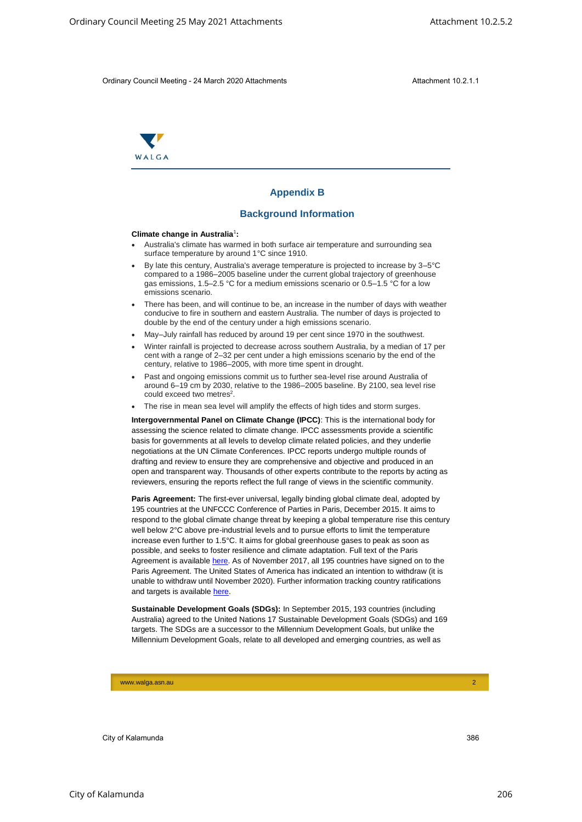

# **Appendix B**

#### **Background Information**

#### **Climate change in Australia**<sup>1</sup> **:**

- Australia's climate has warmed in both surface air temperature and surrounding sea surface temperature by around 1°C since 1910.
- By late this century, Australia's average temperature is projected to increase by 3–5°C compared to a 1986–2005 baseline under the current global trajectory of greenhouse gas emissions, 1.5–2.5 °C for a medium emissions scenario or 0.5–1.5 °C for a low emissions scenario.
- There has been, and will continue to be, an increase in the number of days with weather conducive to fire in southern and eastern Australia. The number of days is projected to double by the end of the century under a high emissions scenario.
- May–July rainfall has reduced by around 19 per cent since 1970 in the southwest.
- Winter rainfall is projected to decrease across southern Australia, by a median of 17 per cent with a range of 2–32 per cent under a high emissions scenario by the end of the century, relative to 1986–2005, with more time spent in drought.
- Past and ongoing emissions commit us to further sea-level rise around Australia of around 6–19 cm by 2030, relative to the 1986–2005 baseline. By 2100, sea level rise could exceed two metres<sup>2</sup>.
- The rise in mean sea level will amplify the effects of high tides and storm surges.

**Intergovernmental Panel on Climate Change (IPCC)**: This is the international body for assessing the science related to climate change. IPCC assessments provide a scientific basis for governments at all levels to develop climate related policies, and they underlie negotiations at the UN Climate Conferences. IPCC reports undergo multiple rounds of drafting and review to ensure they are comprehensive and objective and produced in an open and transparent way. Thousands of other experts contribute to the reports by acting as reviewers, ensuring the reports reflect the full range of views in the scientific community.

Paris Agreement: The first-ever universal, legally binding global climate deal, adopted by 195 countries at the UNFCCC Conference of Parties in Paris, December 2015. It aims to respond to the global climate change threat by keeping a global temperature rise this century well below 2°C above pre-industrial levels and to pursue efforts to limit the temperature increase even further to 1.5°C. It aims for global greenhouse gases to peak as soon as possible, and seeks to foster resilience and climate adaptation. Full text of the Paris Agreement is available [here.](http://unfccc.int/files/home/application/pdf/paris_agreement.pdf) As of November 2017, all 195 countries have signed on to the Paris Agreement. The United States of America has indicated an intention to withdraw (it is unable to withdraw until November 2020). Further information tracking country ratifications and targets is available [here.](http://cait.wri.org/indc/) City of Care of May 2021 Attachments Attachments Attachment 10.25.2<br>
City of Care of May 2021 Attachment<br>
Since The City of Care of May 2021 Attachment<br>
Since The City of Care of Care of Care of Care of Care of Care of Ca

**Sustainable Development Goals (SDGs):** In September 2015, 193 countries (including Australia) agreed to the United Nations 17 Sustainable Development Goals (SDGs) and 169 targets. The SDGs are a successor to the Millennium Development Goals, but unlike the Millennium Development Goals, relate to all developed and emerging countries, as well as

www.walga.asn.au 2007 - 2008 - 2008 - 2008 - 2008 - 2008 - 2008 - 2008 - 2008 - 2008 - 2008 - 2008 - 2008 - 20<br>2008 - 2008 - 2008 - 2008 - 2008 - 2008 - 2008 - 2008 - 2008 - 2008 - 2008 - 2008 - 2008 - 2008 - 2008 - 2008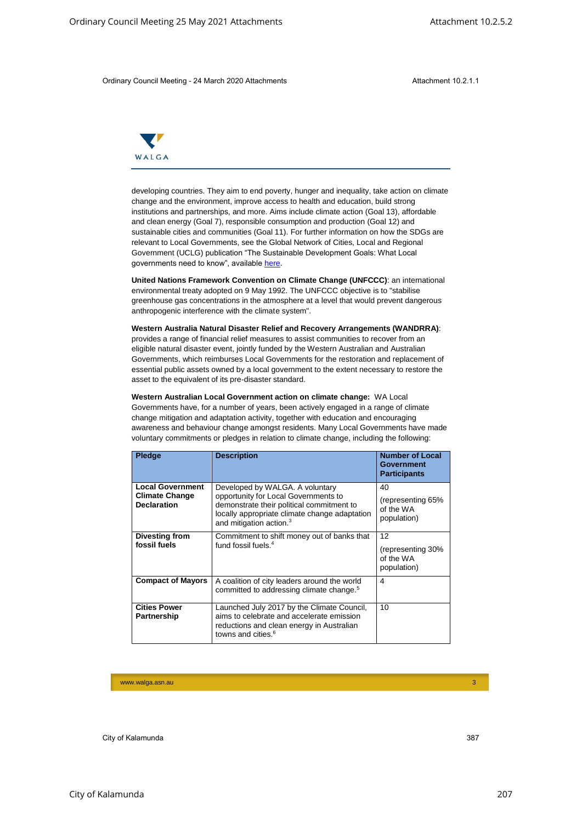

| Ordinary Council Meeting - 24 March 2020 Attachments                                                                                                                                                                                                                                                                                                                                                                                                                                                                                                                                                                                                                                |                                                                                                                                                                                                                                                                                                                                                                                                                                        | Attachment 10.2.1.1                                  |  |
|-------------------------------------------------------------------------------------------------------------------------------------------------------------------------------------------------------------------------------------------------------------------------------------------------------------------------------------------------------------------------------------------------------------------------------------------------------------------------------------------------------------------------------------------------------------------------------------------------------------------------------------------------------------------------------------|----------------------------------------------------------------------------------------------------------------------------------------------------------------------------------------------------------------------------------------------------------------------------------------------------------------------------------------------------------------------------------------------------------------------------------------|------------------------------------------------------|--|
| WALGA                                                                                                                                                                                                                                                                                                                                                                                                                                                                                                                                                                                                                                                                               |                                                                                                                                                                                                                                                                                                                                                                                                                                        |                                                      |  |
| developing countries. They aim to end poverty, hunger and inequality, take action on climate<br>change and the environment, improve access to health and education, build strong<br>institutions and partnerships, and more. Aims include climate action (Goal 13), affordable<br>and clean energy (Goal 7), responsible consumption and production (Goal 12) and<br>sustainable cities and communities (Goal 11). For further information on how the SDGs are<br>relevant to Local Governments, see the Global Network of Cities, Local and Regional<br>Government (UCLG) publication "The Sustainable Development Goals: What Local<br>governments need to know", available here. |                                                                                                                                                                                                                                                                                                                                                                                                                                        |                                                      |  |
| United Nations Framework Convention on Climate Change (UNFCCC): an international<br>environmental treaty adopted on 9 May 1992. The UNFCCC objective is to "stabilise<br>greenhouse gas concentrations in the atmosphere at a level that would prevent dangerous<br>anthropogenic interference with the climate system".                                                                                                                                                                                                                                                                                                                                                            |                                                                                                                                                                                                                                                                                                                                                                                                                                        |                                                      |  |
|                                                                                                                                                                                                                                                                                                                                                                                                                                                                                                                                                                                                                                                                                     | Western Australia Natural Disaster Relief and Recovery Arrangements (WANDRRA):<br>provides a range of financial relief measures to assist communities to recover from an<br>eligible natural disaster event, jointly funded by the Western Australian and Australian<br>Governments, which reimburses Local Governments for the restoration and replacement of                                                                         |                                                      |  |
|                                                                                                                                                                                                                                                                                                                                                                                                                                                                                                                                                                                                                                                                                     | essential public assets owned by a local government to the extent necessary to restore the<br>asset to the equivalent of its pre-disaster standard.                                                                                                                                                                                                                                                                                    |                                                      |  |
|                                                                                                                                                                                                                                                                                                                                                                                                                                                                                                                                                                                                                                                                                     | Western Australian Local Government action on climate change: WA Local<br>Governments have, for a number of years, been actively engaged in a range of climate<br>change mitigation and adaptation activity, together with education and encouraging<br>awareness and behaviour change amongst residents. Many Local Governments have made<br>voluntary commitments or pledges in relation to climate change, including the following: |                                                      |  |
| <b>Pledge</b>                                                                                                                                                                                                                                                                                                                                                                                                                                                                                                                                                                                                                                                                       | <b>Description</b>                                                                                                                                                                                                                                                                                                                                                                                                                     | Number of Local<br>Government<br><b>Participants</b> |  |
| <b>Local Government</b><br><b>Climate Change</b><br><b>Declaration</b>                                                                                                                                                                                                                                                                                                                                                                                                                                                                                                                                                                                                              | Developed by WALGA. A voluntary<br>opportunity for Local Governments to<br>demonstrate their political commitment to<br>locally appropriate climate change adaptation<br>and mitigation action. <sup>3</sup>                                                                                                                                                                                                                           | 40<br>(representing 65%<br>of the WA<br>population)  |  |
| <b>Divesting from</b><br>fossil fuels                                                                                                                                                                                                                                                                                                                                                                                                                                                                                                                                                                                                                                               | Commitment to shift money out of banks that<br>fund fossil fuels. <sup>4</sup>                                                                                                                                                                                                                                                                                                                                                         | 12<br>(representing 30%<br>of the WA<br>population)  |  |
| <b>Compact of Mayors</b>                                                                                                                                                                                                                                                                                                                                                                                                                                                                                                                                                                                                                                                            | A coalition of city leaders around the world<br>committed to addressing climate change. <sup>5</sup>                                                                                                                                                                                                                                                                                                                                   | $\overline{4}$                                       |  |
| <b>Cities Power</b><br>Partnership                                                                                                                                                                                                                                                                                                                                                                                                                                                                                                                                                                                                                                                  | Launched July 2017 by the Climate Council,<br>aims to celebrate and accelerate emission<br>reductions and clean energy in Australian<br>towns and cities. <sup>6</sup>                                                                                                                                                                                                                                                                 | 10                                                   |  |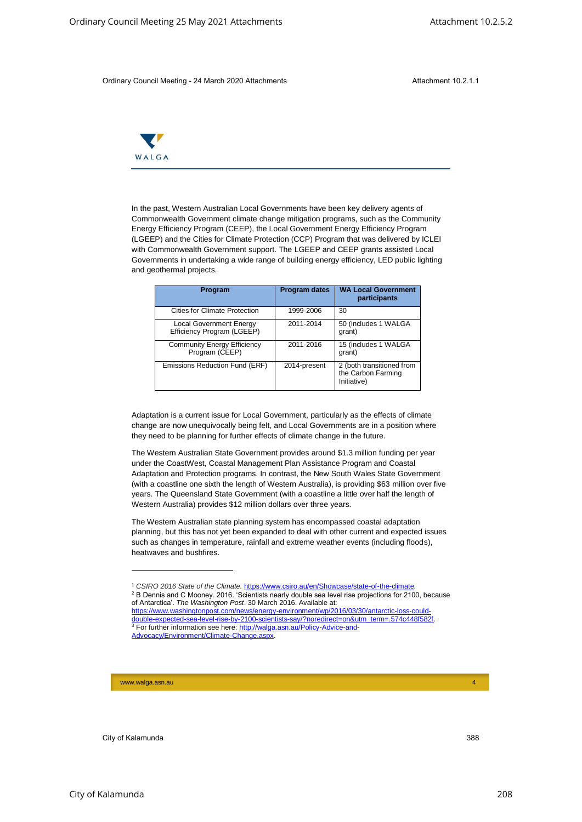

|       | Ordinary Council Meeting - 24 March 2020 Attachments                                                                                                                                                                                                                                                                                                                                                                                                                                                                                                                                                                                                                                                                                                                                                                                                                                                                                                                                                                                                                                                                     |                      | Attachment 10.2.1.1                                                                                  |
|-------|--------------------------------------------------------------------------------------------------------------------------------------------------------------------------------------------------------------------------------------------------------------------------------------------------------------------------------------------------------------------------------------------------------------------------------------------------------------------------------------------------------------------------------------------------------------------------------------------------------------------------------------------------------------------------------------------------------------------------------------------------------------------------------------------------------------------------------------------------------------------------------------------------------------------------------------------------------------------------------------------------------------------------------------------------------------------------------------------------------------------------|----------------------|------------------------------------------------------------------------------------------------------|
|       |                                                                                                                                                                                                                                                                                                                                                                                                                                                                                                                                                                                                                                                                                                                                                                                                                                                                                                                                                                                                                                                                                                                          |                      |                                                                                                      |
| WALGA |                                                                                                                                                                                                                                                                                                                                                                                                                                                                                                                                                                                                                                                                                                                                                                                                                                                                                                                                                                                                                                                                                                                          |                      |                                                                                                      |
|       | In the past, Western Australian Local Governments have been key delivery agents of<br>Commonwealth Government climate change mitigation programs, such as the Community<br>Energy Efficiency Program (CEEP), the Local Government Energy Efficiency Program<br>(LGEEP) and the Cities for Climate Protection (CCP) Program that was delivered by ICLEI<br>with Commonwealth Government support. The LGEEP and CEEP grants assisted Local<br>Governments in undertaking a wide range of building energy efficiency, LED public lighting<br>and geothermal projects.                                                                                                                                                                                                                                                                                                                                                                                                                                                                                                                                                       |                      |                                                                                                      |
|       | Program                                                                                                                                                                                                                                                                                                                                                                                                                                                                                                                                                                                                                                                                                                                                                                                                                                                                                                                                                                                                                                                                                                                  | <b>Program dates</b> | <b>WA Local Government</b><br>participants                                                           |
|       | <b>Cities for Climate Protection</b>                                                                                                                                                                                                                                                                                                                                                                                                                                                                                                                                                                                                                                                                                                                                                                                                                                                                                                                                                                                                                                                                                     | 1999-2006            | 30                                                                                                   |
|       | <b>Local Government Energy</b><br>Efficiency Program (LGEEP)                                                                                                                                                                                                                                                                                                                                                                                                                                                                                                                                                                                                                                                                                                                                                                                                                                                                                                                                                                                                                                                             | 2011-2014            | 50 (includes 1 WALGA<br>grant)                                                                       |
|       | <b>Community Energy Efficiency</b><br>Program (CEEP)                                                                                                                                                                                                                                                                                                                                                                                                                                                                                                                                                                                                                                                                                                                                                                                                                                                                                                                                                                                                                                                                     | 2011-2016            | 15 (includes 1 WALGA<br>grant)                                                                       |
|       | Emissions Reduction Fund (ERF)                                                                                                                                                                                                                                                                                                                                                                                                                                                                                                                                                                                                                                                                                                                                                                                                                                                                                                                                                                                                                                                                                           | 2014-present         | 2 (both transitioned from<br>the Carbon Farming<br>Initiative)                                       |
|       | Adaptation is a current issue for Local Government, particularly as the effects of climate<br>change are now unequivocally being felt, and Local Governments are in a position where<br>they need to be planning for further effects of climate change in the future.<br>The Western Australian State Government provides around \$1.3 million funding per year<br>under the CoastWest, Coastal Management Plan Assistance Program and Coastal<br>Adaptation and Protection programs. In contrast, the New South Wales State Government<br>(with a coastline one sixth the length of Western Australia), is providing \$63 million over five<br>years. The Queensland State Government (with a coastline a little over half the length of<br>Western Australia) provides \$12 million dollars over three years.<br>The Western Australian state planning system has encompassed coastal adaptation<br>planning, but this has not yet been expanded to deal with other current and expected issues<br>such as changes in temperature, rainfall and extreme weather events (including floods),<br>heatwaves and bushfires. |                      |                                                                                                      |
|       |                                                                                                                                                                                                                                                                                                                                                                                                                                                                                                                                                                                                                                                                                                                                                                                                                                                                                                                                                                                                                                                                                                                          |                      | <sup>1</sup> CSIRO 2016 State of the Climate. https://www.csiro.au/en/Showcase/state-of-the-climate. |

<sup>&</sup>lt;sup>1</sup> CSIRO 2016 State of the Climate. https://www.csiro.au/en/Showcase/state-of-the-climate <sup>2</sup> B Dennis and C Mooney. 2016. 'Scientists nearly double sea level rise projections for 2100, because of Antarctica'. *The Washington Post*. 30 March 2016. Available at:

[https://www.washingtonpost.com/news/energy-environment/wp/2016/03/30/antarctic-loss-could](https://www.washingtonpost.com/news/energy-environment/wp/2016/03/30/antarctic-loss-could-double-expected-sea-level-rise-by-2100-scientists-say/?noredirect=on&utm_term=.574c448f582f)ouble-expected-sea-level-rise-by-2100-scientists-say/?noredirect=on&utm\_term=.574c448f582 <sup>3</sup> For further information see here: [http://walga.asn.au/Policy-Advice-and-](http://walga.asn.au/Policy-Advice-and-Advocacy/Environment/Climate-Change.aspx)[Advocacy/Environment/Climate-Change.aspx.](http://walga.asn.au/Policy-Advice-and-Advocacy/Environment/Climate-Change.aspx)